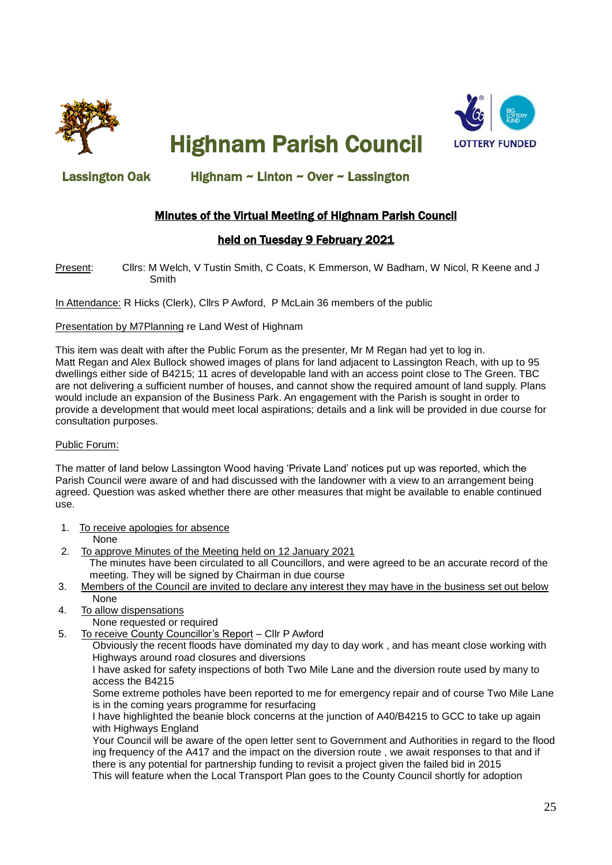

Highnam Parish Council



## Lassington Oak Highnam ~ Linton ~ Over ~ Lassington

## Minutes of the Virtual Meeting of Highnam Parish Council

### held on Tuesday 9 February 2021

Present: Cllrs: M Welch, V Tustin Smith, C Coats, K Emmerson, W Badham, W Nicol, R Keene and J Smith

In Attendance: R Hicks (Clerk), Cllrs P Awford, P McLain 36 members of the public

### Presentation by M7Planning re Land West of Highnam

This item was dealt with after the Public Forum as the presenter, Mr M Regan had yet to log in. Matt Regan and Alex Bullock showed images of plans for land adjacent to Lassington Reach, with up to 95 dwellings either side of B4215; 11 acres of developable land with an access point close to The Green. TBC are not delivering a sufficient number of houses, and cannot show the required amount of land supply. Plans would include an expansion of the Business Park. An engagement with the Parish is sought in order to provide a development that would meet local aspirations; details and a link will be provided in due course for consultation purposes.

#### Public Forum:

The matter of land below Lassington Wood having 'Private Land' notices put up was reported, which the Parish Council were aware of and had discussed with the landowner with a view to an arrangement being agreed. Question was asked whether there are other measures that might be available to enable continued use.

1. To receive apologies for absence

None

- 2. To approve Minutes of the Meeting held on 12 January 2021 The minutes have been circulated to all Councillors, and were agreed to be an accurate record of the meeting. They will be signed by Chairman in due course
- 3. Members of the Council are invited to declare any interest they may have in the business set out below None
- 4. To allow dispensations
	- None requested or required
- 5. To receive County Councillor's Report Cllr P Awford

 Obviously the recent floods have dominated my day to day work , and has meant close working with Highways around road closures and diversions

 I have asked for safety inspections of both Two Mile Lane and the diversion route used by many to access the B4215

 Some extreme potholes have been reported to me for emergency repair and of course Two Mile Lane is in the coming years programme for resurfacing

 I have highlighted the beanie block concerns at the junction of A40/B4215 to GCC to take up again with Highways England

 Your Council will be aware of the open letter sent to Government and Authorities in regard to the flood ing frequency of the A417 and the impact on the diversion route , we await responses to that and if there is any potential for partnership funding to revisit a project given the failed bid in 2015 This will feature when the Local Transport Plan goes to the County Council shortly for adoption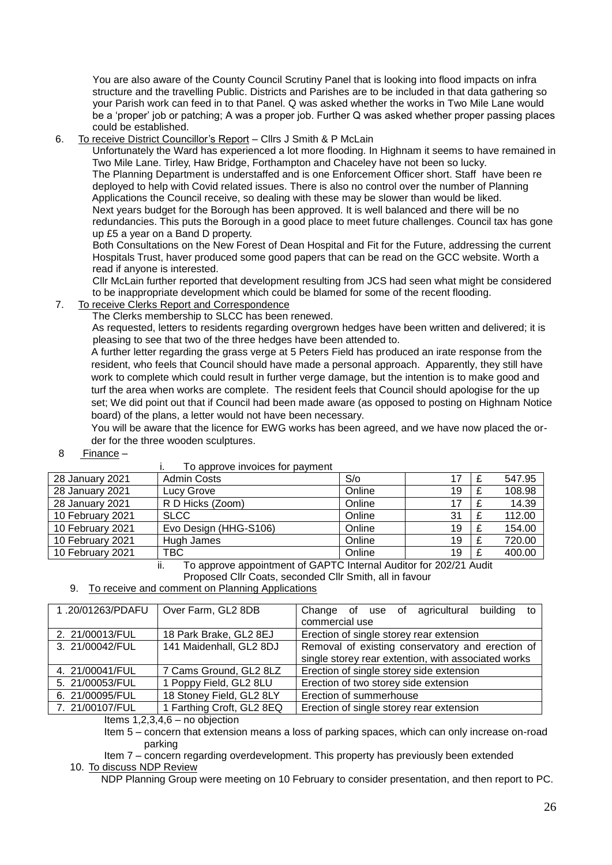You are also aware of the County Council Scrutiny Panel that is looking into flood impacts on infra structure and the travelling Public. Districts and Parishes are to be included in that data gathering so your Parish work can feed in to that Panel. Q was asked whether the works in Two Mile Lane would be a 'proper' job or patching; A was a proper job. Further Q was asked whether proper passing places could be established.

6. To receive District Councillor's Report – Cllrs J Smith & P McLain

 Unfortunately the Ward has experienced a lot more flooding. In Highnam it seems to have remained in Two Mile Lane. Tirley, Haw Bridge, Forthampton and Chaceley have not been so lucky. The Planning Department is understaffed and is one Enforcement Officer short. Staff have been re deployed to help with Covid related issues. There is also no control over the number of Planning Applications the Council receive, so dealing with these may be slower than would be liked. Next years budget for the Borough has been approved. It is well balanced and there will be no redundancies. This puts the Borough in a good place to meet future challenges. Council tax has gone up £5 a year on a Band D property.

 Both Consultations on the New Forest of Dean Hospital and Fit for the Future, addressing the current Hospitals Trust, haver produced some good papers that can be read on the GCC website. Worth a read if anyone is interested.

 Cllr McLain further reported that development resulting from JCS had seen what might be considered to be inappropriate development which could be blamed for some of the recent flooding.

7. To receive Clerks Report and Correspondence

The Clerks membership to SLCC has been renewed.

 As requested, letters to residents regarding overgrown hedges have been written and delivered; it is pleasing to see that two of the three hedges have been attended to.

 A further letter regarding the grass verge at 5 Peters Field has produced an irate response from the resident, who feels that Council should have made a personal approach. Apparently, they still have work to complete which could result in further verge damage, but the intention is to make good and turf the area when works are complete. The resident feels that Council should apologise for the up set; We did point out that if Council had been made aware (as opposed to posting on Highnam Notice board) of the plans, a letter would not have been necessary.

 You will be aware that the licence for EWG works has been agreed, and we have now placed the or der for the three wooden sculptures.

8 Finance –

|                  | TO applove invoices for payment |        |    |  |        |  |  |
|------------------|---------------------------------|--------|----|--|--------|--|--|
| 28 January 2021  | <b>Admin Costs</b>              | S/O    |    |  | 547.95 |  |  |
| 28 January 2021  | Lucy Grove                      | Online | 19 |  | 108.98 |  |  |
| 28 January 2021  | R D Hicks (Zoom)                | Online |    |  | 14.39  |  |  |
| 10 February 2021 | <b>SLCC</b>                     | Online | 31 |  | 112.00 |  |  |
| 10 February 2021 | Evo Design (HHG-S106)           | Online | 19 |  | 154.00 |  |  |
| 10 February 2021 | Hugh James                      | Online | 19 |  | 720.00 |  |  |
| 10 February 2021 | TBC                             | Online | 19 |  | 400.00 |  |  |
|                  |                                 |        |    |  |        |  |  |

To approve invoices for payment

ii. To approve appointment of GAPTC Internal Auditor for 202/21 Audit

Proposed Cllr Coats, seconded Cllr Smith, all in favour

9. To receive and comment on Planning Applications

|                 | 1.20/01263/PDAFU   Over Farm, GL2 8DB | Change of use of agricultural building to           |  |  |
|-----------------|---------------------------------------|-----------------------------------------------------|--|--|
|                 |                                       | commercial use                                      |  |  |
| 2. 21/00013/FUL | 18 Park Brake, GL2 8EJ                | Erection of single storey rear extension            |  |  |
| 3. 21/00042/FUL | 141 Maidenhall, GL2 8DJ               | Removal of existing conservatory and erection of    |  |  |
|                 |                                       | single storey rear extention, with associated works |  |  |
| 4. 21/00041/FUL | 7 Cams Ground, GL2 8LZ                | Erection of single storey side extension            |  |  |
| 5. 21/00053/FUL | 1 Poppy Field, GL2 8LU                | Erection of two storey side extension               |  |  |
| 6. 21/00095/FUL | 18 Stoney Field, GL2 8LY              | Erection of summerhouse                             |  |  |
| 7. 21/00107/FUL | 1 Farthing Croft, GL2 8EQ             | Erection of single storey rear extension            |  |  |

Items 1,2,3,4,6 – no objection

 Item 5 – concern that extension means a loss of parking spaces, which can only increase on-road parking

 Item 7 – concern regarding overdevelopment. This property has previously been extended 10. To discuss NDP Review

NDP Planning Group were meeting on 10 February to consider presentation, and then report to PC.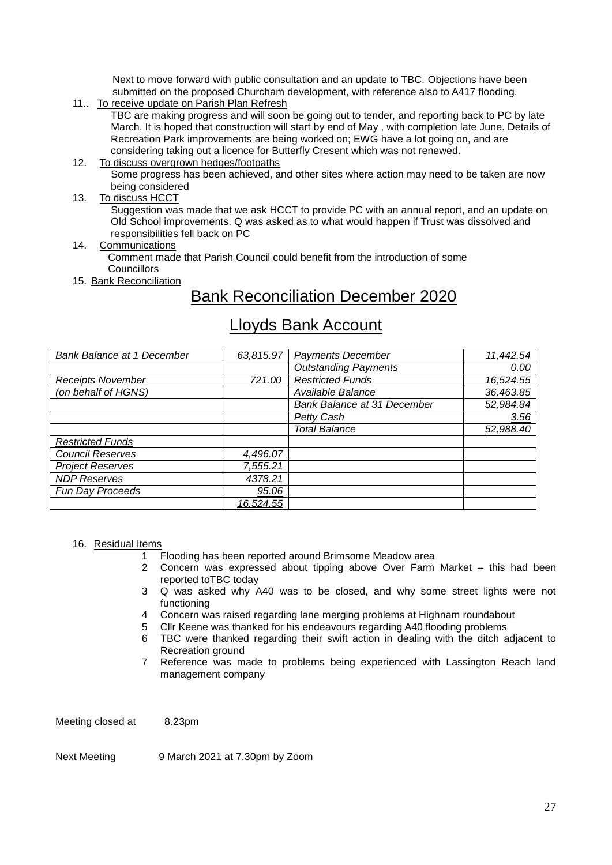Next to move forward with public consultation and an update to TBC. Objections have been submitted on the proposed Churcham development, with reference also to A417 flooding.

11.. To receive update on Parish Plan Refresh

 TBC are making progress and will soon be going out to tender, and reporting back to PC by late March. It is hoped that construction will start by end of May , with completion late June. Details of Recreation Park improvements are being worked on; EWG have a lot going on, and are considering taking out a licence for Butterfly Cresent which was not renewed.

12. To discuss overgrown hedges/footpaths

 Some progress has been achieved, and other sites where action may need to be taken are now being considered

13. To discuss HCCT

 Suggestion was made that we ask HCCT to provide PC with an annual report, and an update on Old School improvements. Q was asked as to what would happen if Trust was dissolved and responsibilities fell back on PC

14. Communications

 Comment made that Parish Council could benefit from the introduction of some Councillors

15. Bank Reconciliation

## Bank Reconciliation December 2020

# Lloyds Bank Account

| <b>Bank Balance at 1 December</b> | 63,815.97 | <b>Payments December</b>    | 11,442.54 |
|-----------------------------------|-----------|-----------------------------|-----------|
|                                   |           | <b>Outstanding Payments</b> | 0.00      |
| <b>Receipts November</b>          | 721.00    | <b>Restricted Funds</b>     | 16,524.55 |
| (on behalf of HGNS)               |           | Available Balance           | 36,463.85 |
|                                   |           | Bank Balance at 31 December | 52,984.84 |
|                                   |           | Petty Cash                  | 3.56      |
|                                   |           | <b>Total Balance</b>        | 52,988.40 |
| <b>Restricted Funds</b>           |           |                             |           |
| <b>Council Reserves</b>           | 4,496.07  |                             |           |
| <b>Project Reserves</b>           | 7,555.21  |                             |           |
| <b>NDP Reserves</b>               | 4378.21   |                             |           |
| Fun Day Proceeds                  | 95.06     |                             |           |
|                                   | 16,524.55 |                             |           |

#### 16. Residual Items

- 1 Flooding has been reported around Brimsome Meadow area
- 2 Concern was expressed about tipping above Over Farm Market this had been reported toTBC today
- 3 Q was asked why A40 was to be closed, and why some street lights were not functioning
- 4 Concern was raised regarding lane merging problems at Highnam roundabout
- 5 Cllr Keene was thanked for his endeavours regarding A40 flooding problems
- 6 TBC were thanked regarding their swift action in dealing with the ditch adjacent to Recreation ground
- 7 Reference was made to problems being experienced with Lassington Reach land management company

Meeting closed at 8.23pm

Next Meeting 9 March 2021 at 7.30pm by Zoom